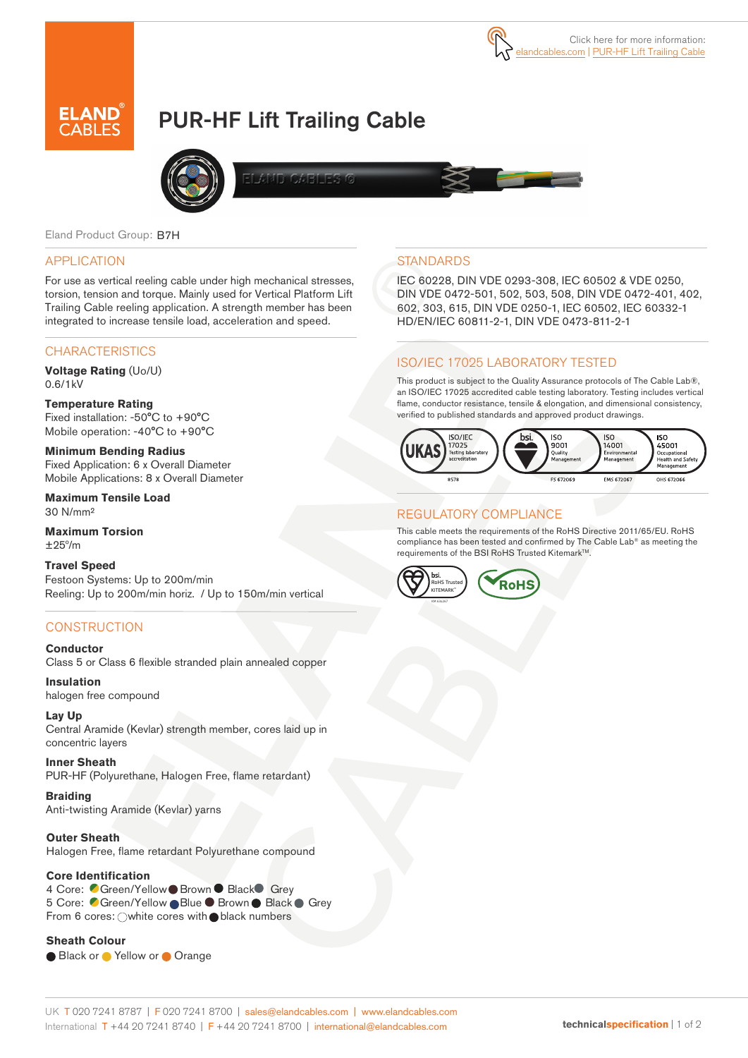

# PUR-HF Lift Trailing Cable



**IFLOZENERS** 

Eland Product Group: B7H

#### APPLICATION

For use as vertical reeling cable under high mechanical stresses, torsion, tension and torque. Mainly used for Vertical Platform Lift Trailing Cable reeling application. A strength member has been integrated to increase tensile load, acceleration and speed.

#### **CHARACTERISTICS**

**Voltage Rating** (Uo/U) 0.6/1kV

**Temperature Rating**  Fixed installation: -50°C to +90°C Mobile operation: -40°C to +90°C

**Minimum Bending Radius**  Fixed Application: 6 x Overall Diameter Mobile Applications: 8 x Overall Diameter

**Maximum Tensile Load**  30 N/mm²

**Maximum Torsion**   $+25^{\circ}/m$ 

**Travel Speed**  Festoon Systems: Up to 200m/min Reeling: Up to 200m/min horiz. / Up to 150m/min vertical

#### **CONSTRUCTION**

**Conductor**

Class 5 or Class 6 flexible stranded plain annealed copper

**Insulation** halogen free compound

**Lay Up**

Central Aramide (Kevlar) strength member, cores laid up in concentric layers

**Inner Sheath** PUR-HF (Polyurethane, Halogen Free, flame retardant)

**Braiding** Anti-twisting Aramide (Kevlar) yarns

**Outer Sheath**

Halogen Free, flame retardant Polyurethane compound

#### **Core Identification**

4 Core: Green/Yellow Brown Black Grey 5 Core: Green/Yellow Blue Brown Black Grey From 6 cores:  $\bigcirc$  white cores with black numbers

#### **Sheath Colour**

● Black or ● Yellow or ● Orange

# **STANDARDS**

IEC 60228, DIN VDE 0293-308, IEC 60502 & VDE 0250, DIN VDE 0472-501, 502, 503, 508, DIN VDE 0472-401, 402, 602, 303, 615, DIN VDE 0250-1, IEC 60502, IEC 60332-1 HD/EN/IEC 60811-2-1, DIN VDE 0473-811-2-1

## ISO/IEC 17025 LABORATORY TESTED

This product is subject to the Quality Assurance protocols of The Cable Lab®, an ISO/IEC 17025 accredited cable testing laboratory. Testing includes vertical flame, conductor resistance, tensile & elongation, and dimensional consistency, verified to published standards and approved product drawings.



## REGULATORY COMPLIANCE

This cable meets the requirements of the RoHS Directive 2011/65/EU. RoHS compliance has been tested and confirmed by The Cable Lab® as meeting the requirements of the BSI RoHS Trusted Kitemark<sup>™</sup>.